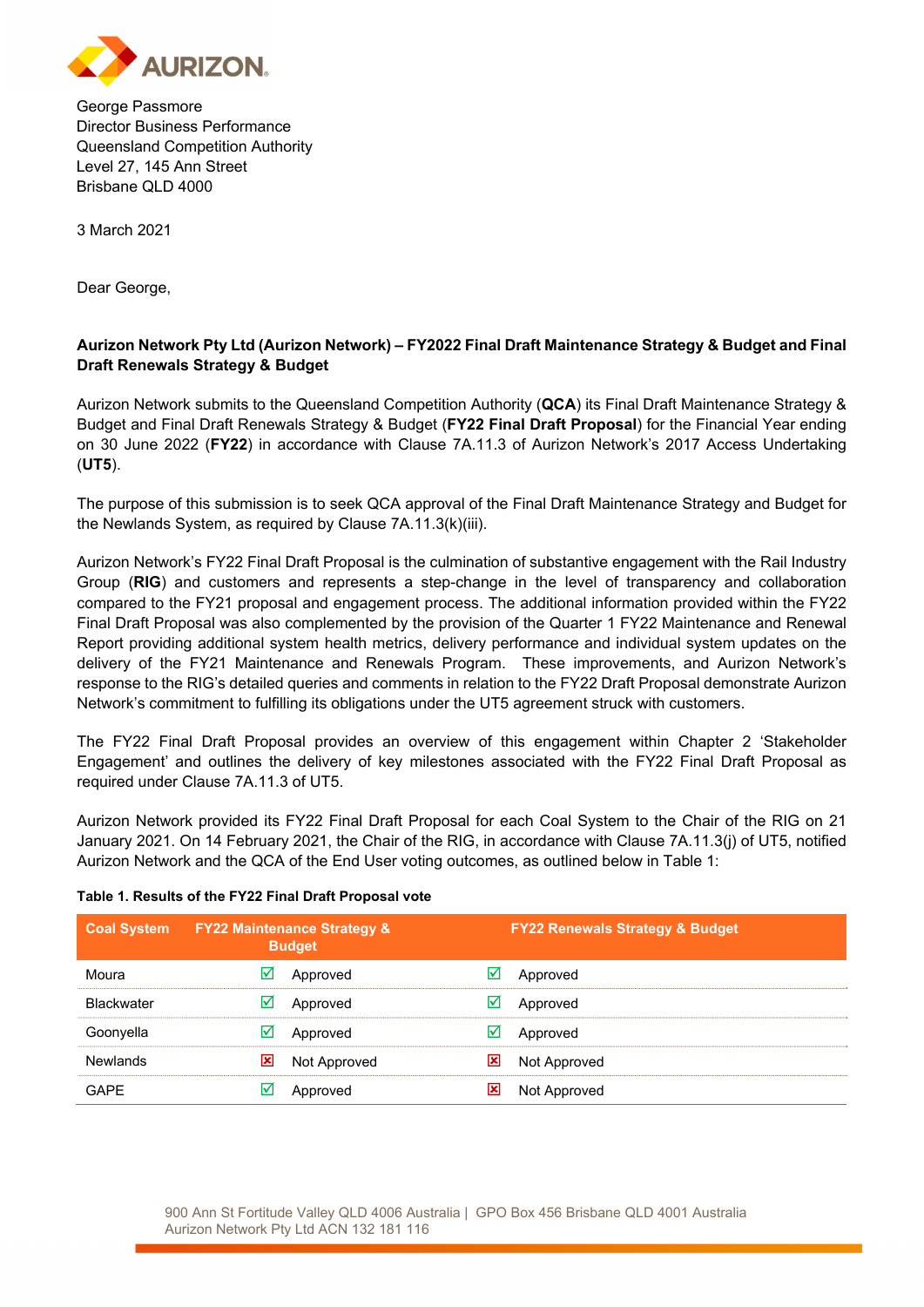

George Passmore Director Business Performance Queensland Competition Authority Level 27, 145 Ann Street Brisbane QLD 4000

3 March 2021

Dear George,

## **Aurizon Network Pty Ltd (Aurizon Network) – FY2022 Final Draft Maintenance Strategy & Budget and Final Draft Renewals Strategy & Budget**

Aurizon Network submits to the Queensland Competition Authority (**QCA**) its Final Draft Maintenance Strategy & Budget and Final Draft Renewals Strategy & Budget (**FY22 Final Draft Proposal**) for the Financial Year ending on 30 June 2022 (**FY22**) in accordance with Clause 7A.11.3 of Aurizon Network's 2017 Access Undertaking (**UT5**).

The purpose of this submission is to seek QCA approval of the Final Draft Maintenance Strategy and Budget for the Newlands System, as required by Clause 7A.11.3(k)(iii).

Aurizon Network's FY22 Final Draft Proposal is the culmination of substantive engagement with the Rail Industry Group (**RIG**) and customers and represents a step-change in the level of transparency and collaboration compared to the FY21 proposal and engagement process. The additional information provided within the FY22 Final Draft Proposal was also complemented by the provision of the Quarter 1 FY22 Maintenance and Renewal Report providing additional system health metrics, delivery performance and individual system updates on the delivery of the FY21 Maintenance and Renewals Program. These improvements, and Aurizon Network's response to the RIG's detailed queries and comments in relation to the FY22 Draft Proposal demonstrate Aurizon Network's commitment to fulfilling its obligations under the UT5 agreement struck with customers.

The FY22 Final Draft Proposal provides an overview of this engagement within Chapter 2 'Stakeholder Engagement' and outlines the delivery of key milestones associated with the FY22 Final Draft Proposal as required under Clause 7A.11.3 of UT5.

Aurizon Network provided its FY22 Final Draft Proposal for each Coal System to the Chair of the RIG on 21 January 2021. On 14 February 2021, the Chair of the RIG, in accordance with Clause 7A.11.3(j) of UT5, notified Aurizon Network and the QCA of the End User voting outcomes, as outlined below in Table 1:

## **Table 1. Results of the FY22 Final Draft Proposal vote**

| <b>Coal System</b> | <b>EY22 Maintenance Strategy &amp;</b><br><b>Budget</b> | <b>FY22 Renewals Strategy &amp; Budget</b> |
|--------------------|---------------------------------------------------------|--------------------------------------------|
| Moura              | M<br>Approved                                           | Approved                                   |
| <b>Blackwater</b>  | $\triangleright$<br>Approved                            | Approved                                   |
| Goonyella          | ⋈<br>Approved                                           | Approved<br>⋈                              |
| <b>Newlands</b>    | 図<br>Not Approved                                       | 図<br>Not Approved                          |
| <b>GAPE</b>        | Approved                                                | x<br>Not Approved                          |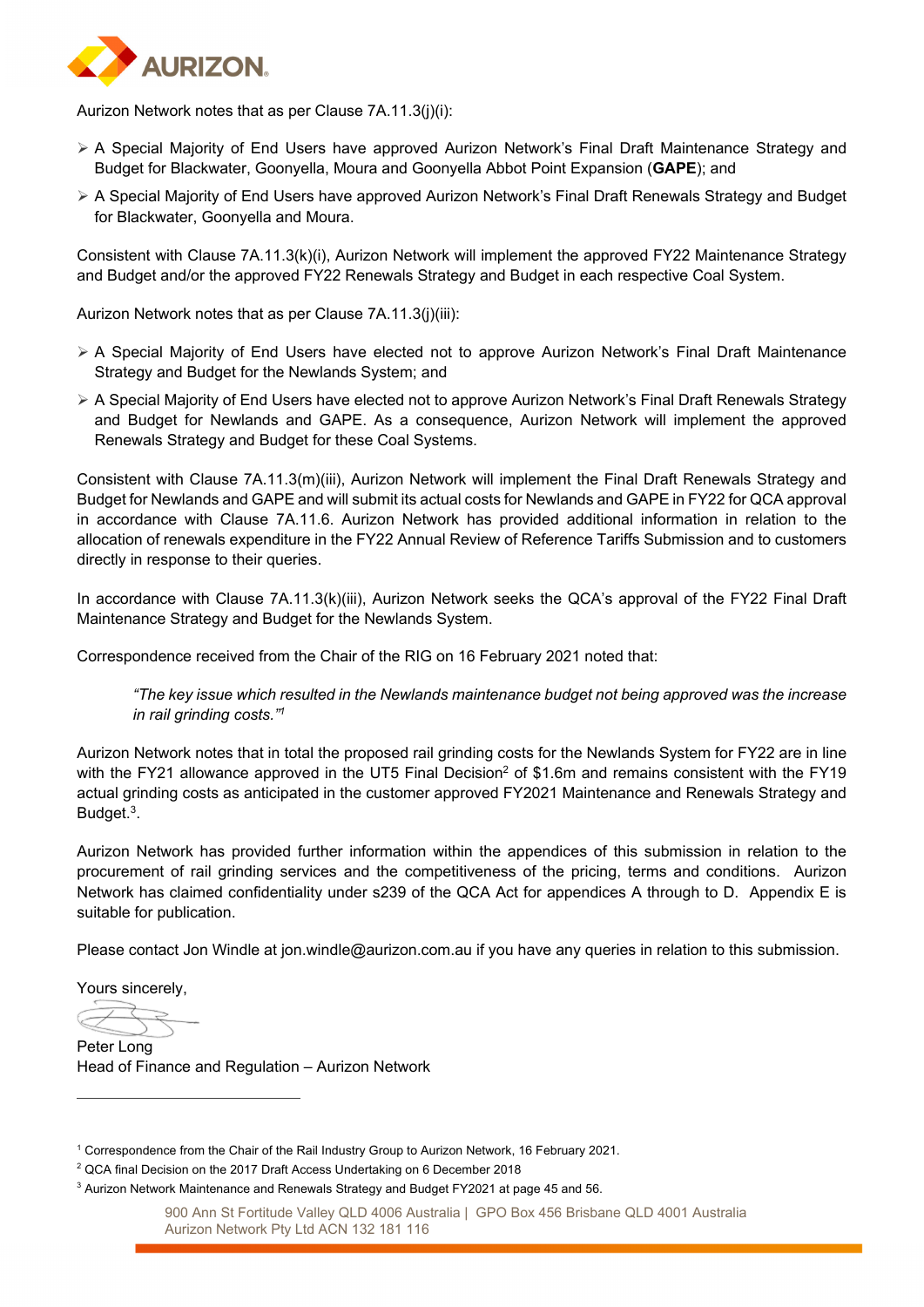

Aurizon Network notes that as per Clause 7A.11.3(j)(i):

- A Special Majority of End Users have approved Aurizon Network's Final Draft Maintenance Strategy and Budget for Blackwater, Goonyella, Moura and Goonyella Abbot Point Expansion (**GAPE**); and
- A Special Majority of End Users have approved Aurizon Network's Final Draft Renewals Strategy and Budget for Blackwater, Goonyella and Moura.

Consistent with Clause 7A.11.3(k)(i), Aurizon Network will implement the approved FY22 Maintenance Strategy and Budget and/or the approved FY22 Renewals Strategy and Budget in each respective Coal System.

Aurizon Network notes that as per Clause 7A.11.3(j)(iii):

- A Special Majority of End Users have elected not to approve Aurizon Network's Final Draft Maintenance Strategy and Budget for the Newlands System; and
- A Special Majority of End Users have elected not to approve Aurizon Network's Final Draft Renewals Strategy and Budget for Newlands and GAPE. As a consequence, Aurizon Network will implement the approved Renewals Strategy and Budget for these Coal Systems.

Consistent with Clause 7A.11.3(m)(iii), Aurizon Network will implement the Final Draft Renewals Strategy and Budget for Newlands and GAPE and will submit its actual costs for Newlands and GAPE in FY22 for QCA approval in accordance with Clause 7A.11.6. Aurizon Network has provided additional information in relation to the allocation of renewals expenditure in the FY22 Annual Review of Reference Tariffs Submission and to customers directly in response to their queries.

In accordance with Clause 7A.11.3(k)(iii), Aurizon Network seeks the QCA's approval of the FY22 Final Draft Maintenance Strategy and Budget for the Newlands System.

Correspondence received from the Chair of the RIG on 16 February 2021 noted that:

*"The key issue which resulted in the Newlands maintenance budget not being approved was the increase in rail grinding costs."1*

Aurizon Network notes that in total the proposed rail grinding costs for the Newlands System for FY22 are in line with the FY21 allowance approved in the UT5 Final Decision<sup>2</sup> of \$1.6m and remains consistent with the FY19 actual grinding costs as anticipated in the customer approved FY2021 Maintenance and Renewals Strategy and Budget.3.

Aurizon Network has provided further information within the appendices of this submission in relation to the procurement of rail grinding services and the competitiveness of the pricing, terms and conditions. Aurizon Network has claimed confidentiality under s239 of the QCA Act for appendices A through to D. Appendix E is suitable for publication.

Please contact Jon Windle at jon.windle@aurizon.com.au if you have any queries in relation to this submission.

Yours sincerely,

Peter Long Head of Finance and Regulation – Aurizon Network

<sup>1</sup> Correspondence from the Chair of the Rail Industry Group to Aurizon Network, 16 February 2021.

<sup>&</sup>lt;sup>2</sup> QCA final Decision on the 2017 Draft Access Undertaking on 6 December 2018

 $^3$  Aurizon Network Maintenance and Renewals Strategy and Budget FY2021 at page 45 and 56.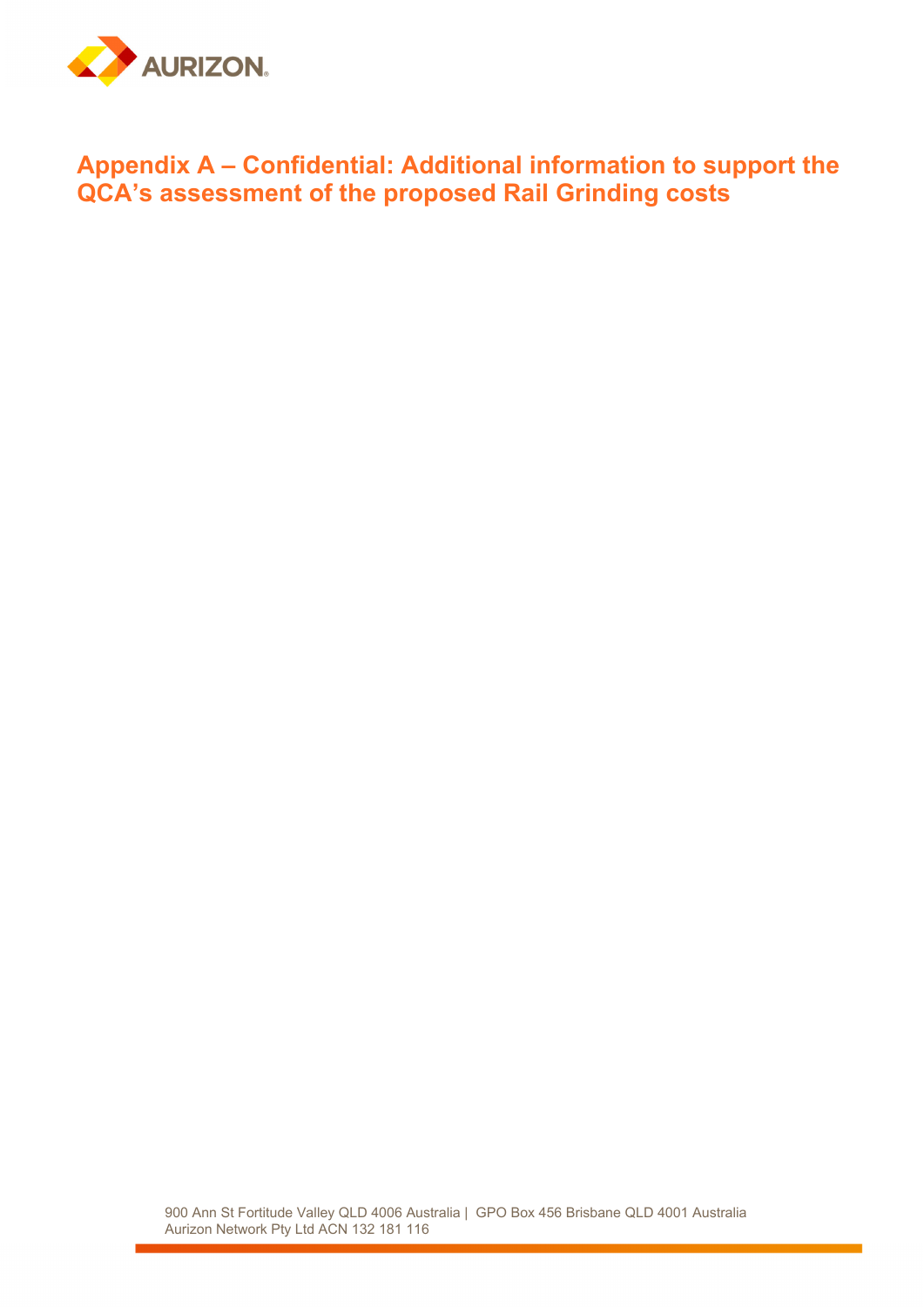

## **Appendix A – Confidential: Additional information to support the QCA's assessment of the proposed Rail Grinding costs**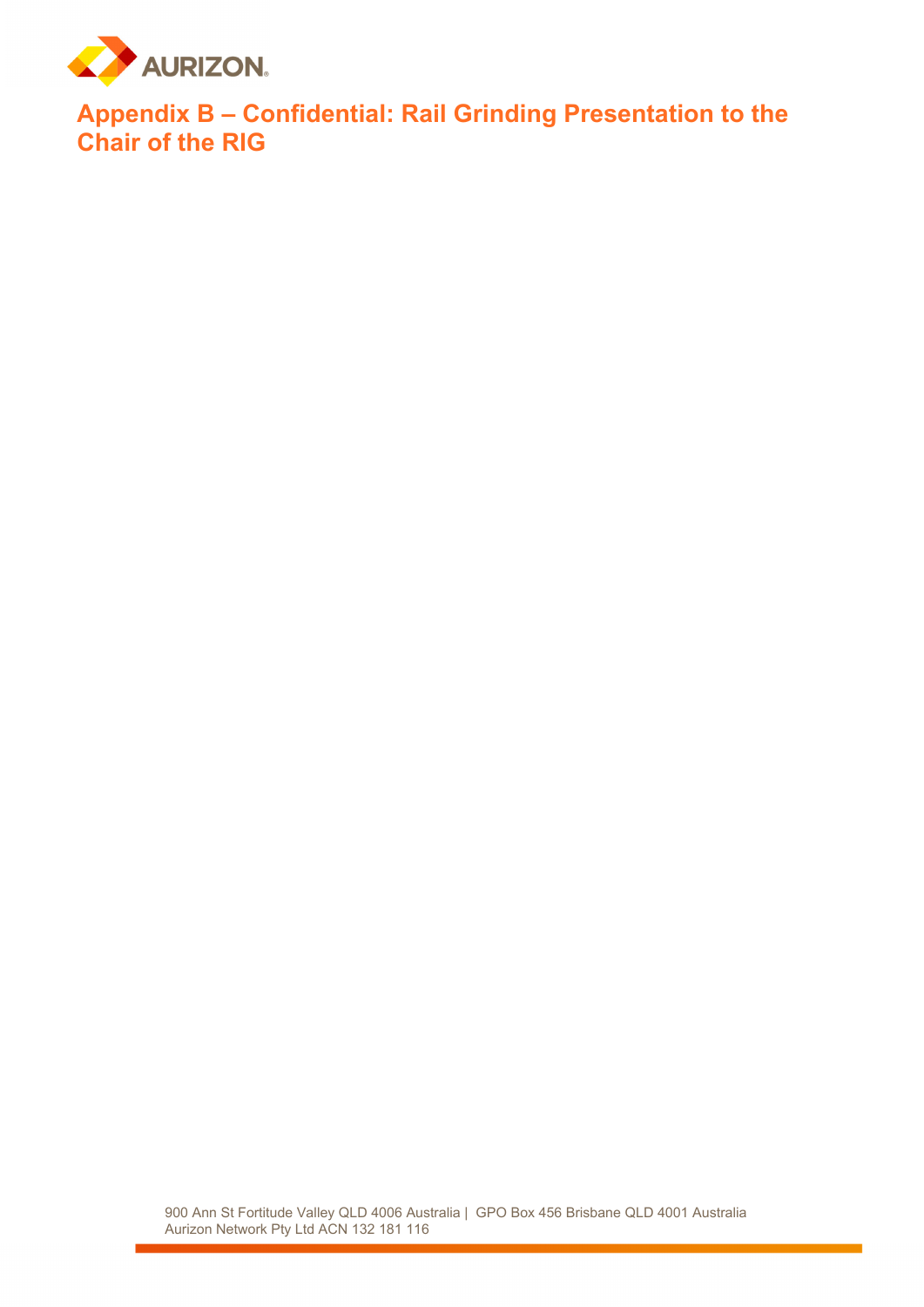

**Appendix B – Confidential: Rail Grinding Presentation to the Chair of the RIG**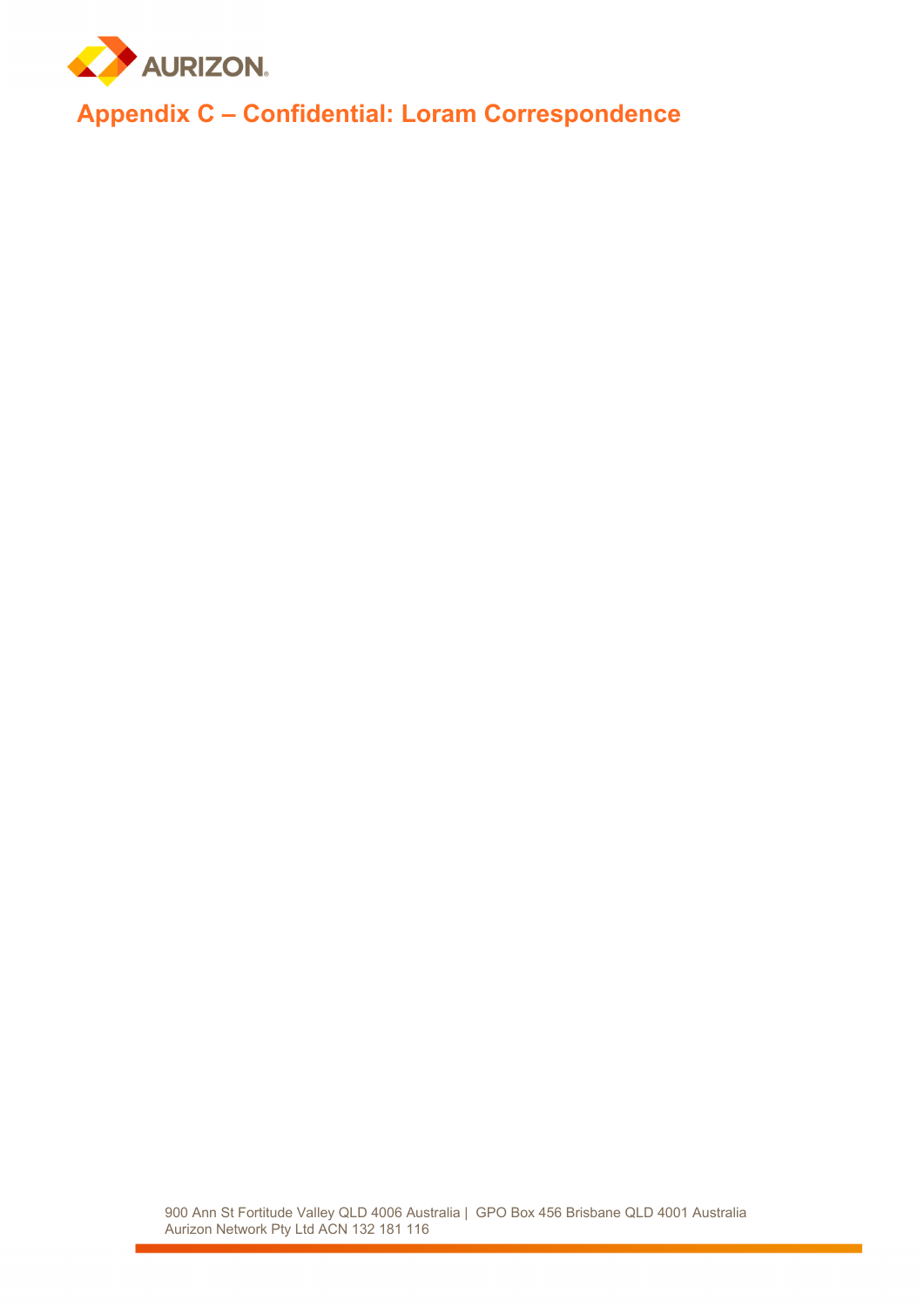

**Appendix C – Confidential: Loram Correspondence**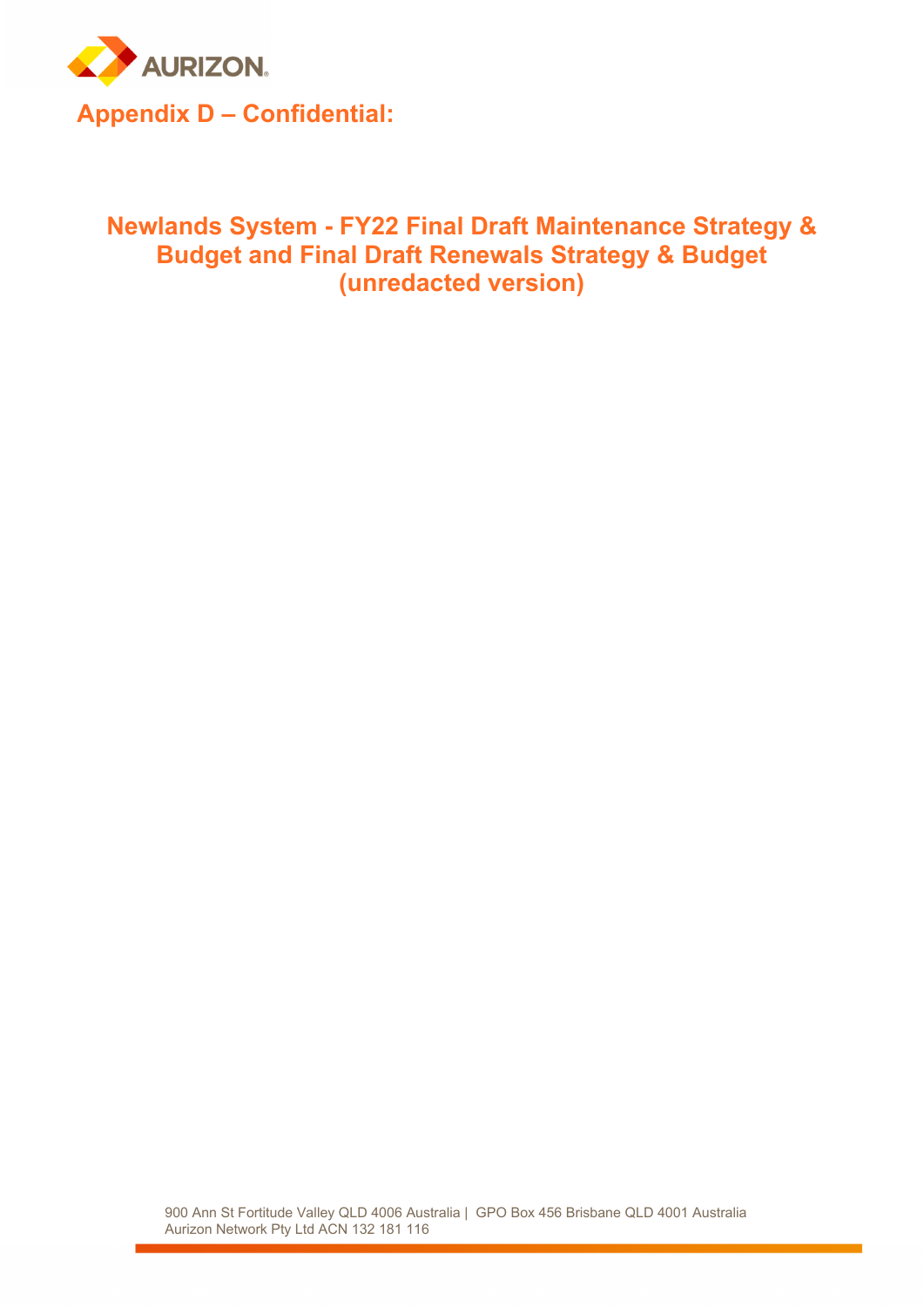

## **Newlands System - FY22 Final Draft Maintenance Strategy & Budget and Final Draft Renewals Strategy & Budget (unredacted version)**

900 Ann St Fortitude Valley QLD 4006 Australia | GPO Box 456 Brisbane QLD 4001 Australia Aurizon Network Pty Ltd ACN 132 181 116